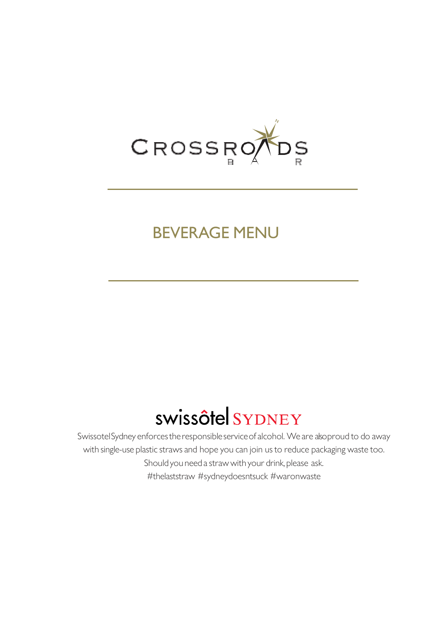

## BEVERAGE MENU

# swissôtel SYDNEY

SwissotelSydney enforcestheresponsibleserviceof alcohol. We are alsoproud to do away with single-use plastic straws and hope you can join us to reduce packaging waste too. Should you need a straw with your drink, please ask. #thelaststraw #sydneydoesntsuck #waronwaste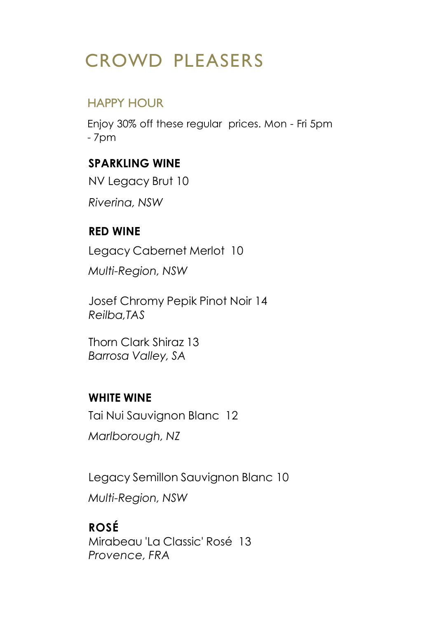# CROWD PLEASERS

## HAPPY HOUR

Enjoy 30% off these regular prices. Mon - Fri 5pm - 7pm

#### **SPARKLING WINE**

NV Legacy Brut 10

*Riverina, NSW*

### **RED WINE**

Legacy Cabernet Merlot 10

*Multi-Region, NSW*

Josef Chromy Pepik Pinot Noir 14 *Reilba,TAS*

Thorn Clark Shiraz 13 *Barrosa Valley, SA*

### **WHITE WINE**

Tai Nui Sauvignon Blanc 12 *Marlborough, NZ*

Legacy Semillon Sauvignon Blanc 10

*Multi-Region, NSW*

## **ROSÉ**

Mirabeau 'La Classic' Rosé 13 *Provence, FRA*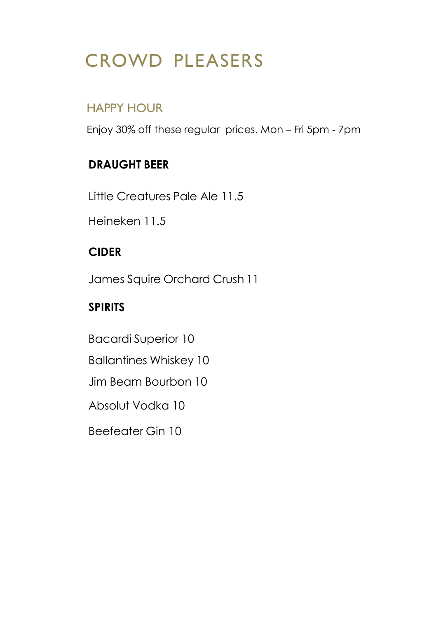# CROWD PLEASERS

## HAPPY HOUR

Enjoy 30% off these regular prices. Mon – Fri 5pm - 7pm

## **DRAUGHT BEER**

Little Creatures Pale Ale 11.5

Heineken 11.5

## **CIDER**

James Squire Orchard Crush 11

## **SPIRITS**

Bacardi Superior 10 Ballantines Whiskey 10 Jim Beam Bourbon 10 Absolut Vodka 10 Beefeater Gin 10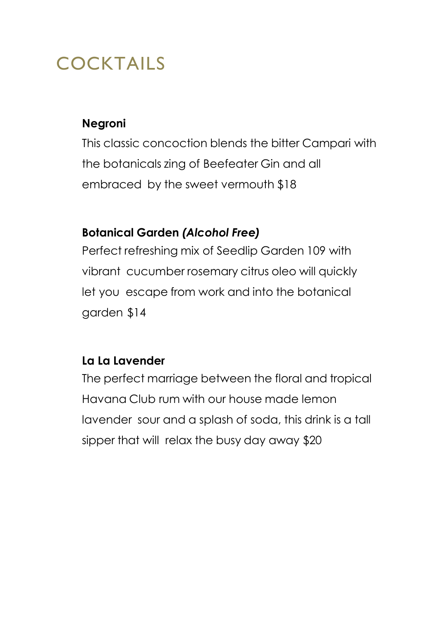# COCKTAILS

#### **Negroni**

This classic concoction blends the bitter Campari with the botanicals zing of Beefeater Gin and all embraced by the sweet vermouth \$18

### **Botanical Garden** *(Alcohol Free)*

Perfect refreshing mix of Seedlip Garden 109 with vibrant cucumber rosemary citrus oleo will quickly let you escape from work and into the botanical garden \$14

### **La La Lavender**

The perfect marriage between the floral and tropical Havana Club rum with our house made lemon lavender sour and a splash of soda, this drink is a tall sipper that will relax the busy day away \$20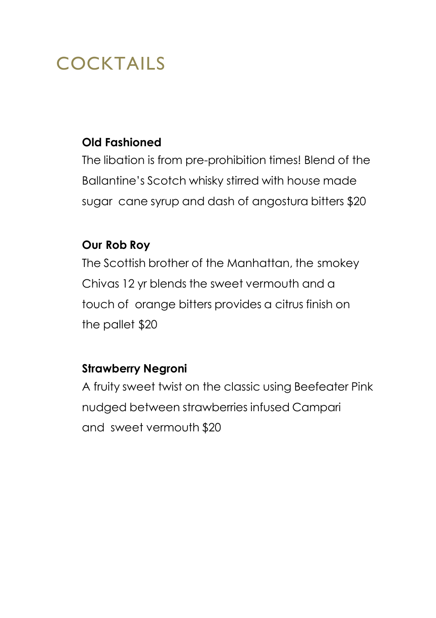# COCKTAILS

### **Old Fashioned**

The libation is from pre-prohibition times! Blend of the Ballantine's Scotch whisky stirred with house made sugar cane syrup and dash of angostura bitters \$20

#### **Our Rob Roy**

The Scottish brother of the Manhattan, the smokey Chivas 12 yr blends the sweet vermouth and a touch of orange bitters provides a citrus finish on the pallet \$20

### **Strawberry Negroni**

A fruity sweet twist on the classic using Beefeater Pink nudged between strawberries infused Campari and sweet vermouth \$20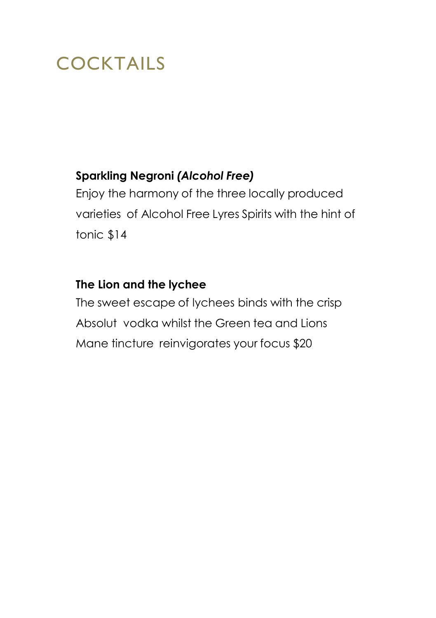# COCKTAILS

### **Sparkling Negroni** *(Alcohol Free)*

Enjoy the harmony of the three locally produced varieties of Alcohol Free Lyres Spirits with the hint of tonic \$14

#### **The Lion and the lychee**

The sweet escape of lychees binds with the crisp Absolut vodka whilst the Green tea and Lions Mane tincture reinvigorates your focus \$20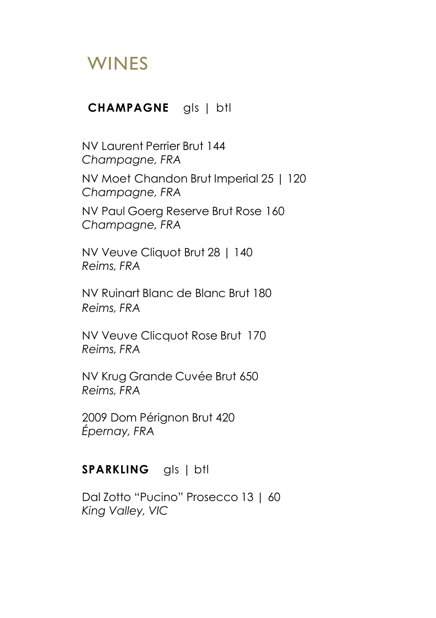#### **CHAMPAGNE** gls | btl

NV Laurent Perrier Brut 144 *Champagne, FRA* NV Moet Chandon Brut Imperial 25 | 120 *Champagne, FRA* NV Paul Goerg Reserve Brut Rose 160 *Champagne, FRA*

NV Veuve Cliquot Brut 28 | 140 *Reims, FRA*

NV Ruinart Blanc de Blanc Brut 180 *Reims, FRA*

NV Veuve Clicquot Rose Brut 170 *Reims, FRA*

NV Krug Grande Cuvée Brut 650 *Reims, FRA*

2009 Dom Pérignon Brut 420 *Épernay, FRA*

#### **SPARKLING** gls | btl

Dal Zotto "Pucino" Prosecco 13 | 60 *King Valley, VIC*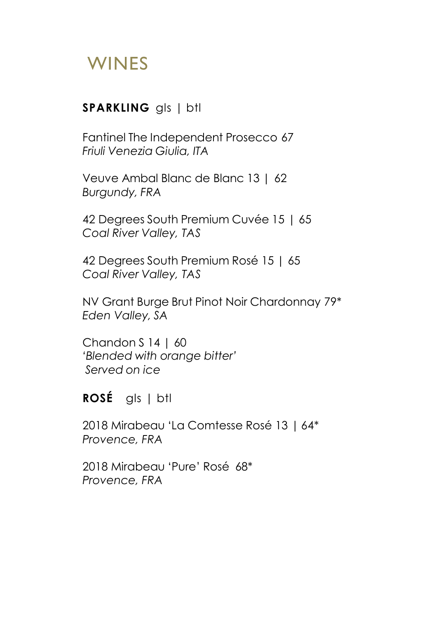#### **SPARKLING** gls | btl

Fantinel The Independent Prosecco 67 *Friuli Venezia Giulia, ITA*

Veuve Ambal Blanc de Blanc 13 | 62 *Burgundy, FRA*

42 Degrees South Premium Cuvée 15 | 65 *Coal River Valley, TAS*

42 Degrees South Premium Rosé 15 | 65 *Coal River Valley, TAS*

NV Grant Burge Brut Pinot Noir Chardonnay 79\* *Eden Valley, SA*

Chandon  $S$  14 | 60 *'Blended with orange bitter' Served on ice*

**ROSÉ** gls | btl

2018 Mirabeau 'La Comtesse Rosé 13 | 64\* *Provence, FRA*

2018 Mirabeau 'Pure' Rosé 68\* *Provence, FRA*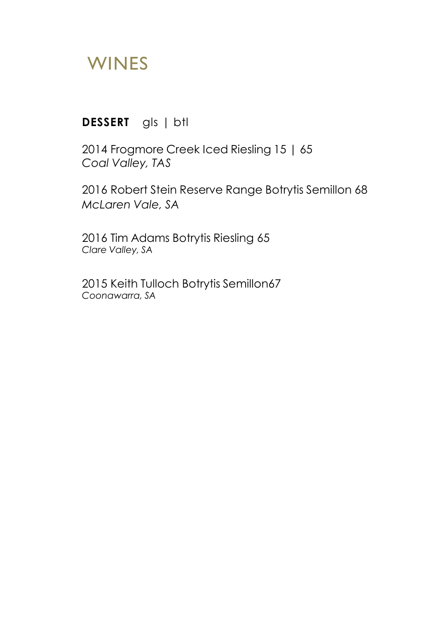#### **DESSERT** gls | btl

2014 Frogmore Creek Iced Riesling 15 | 65 *Coal Valley, TAS*

2016 Robert Stein Reserve Range Botrytis Semillon 68 *McLaren Vale, SA*

2016 Tim Adams Botrytis Riesling 65 *Clare Valley, SA*

2015 Keith Tulloch Botrytis Semillon67 *Coonawarra, SA*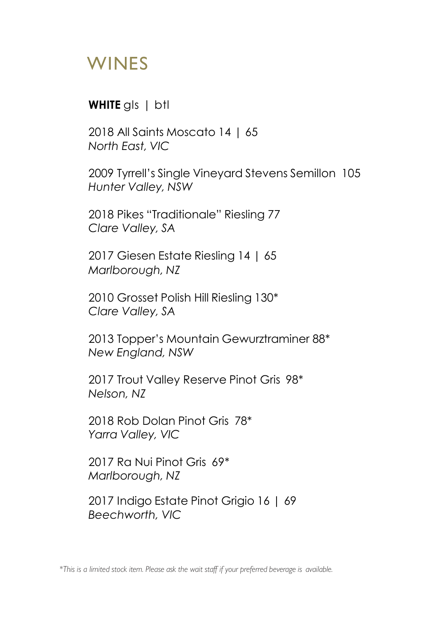#### **WHITE** gls | btl

2018 All Saints Moscato 14 | 65 *North East, VIC*

2009 Tyrrell's Single Vineyard Stevens Semillon 105 *Hunter Valley, NSW*

2018 Pikes "Traditionale" Riesling 77 *Clare Valley, SA*

2017 Giesen Estate Riesling 14 | 65 *Marlborough, NZ*

2010 Grosset Polish Hill Riesling 130\* *Clare Valley, SA*

2013 Topper's Mountain Gewurztraminer 88\* *New England, NSW*

2017 Trout Valley Reserve Pinot Gris 98\* *Nelson, NZ*

2018 Rob Dolan Pinot Gris 78\* *Yarra Valley, VIC*

2017 Ra Nui Pinot Gris 69\* *Marlborough, NZ*

2017 Indigo Estate Pinot Grigio 16 | 69 *Beechworth, VIC*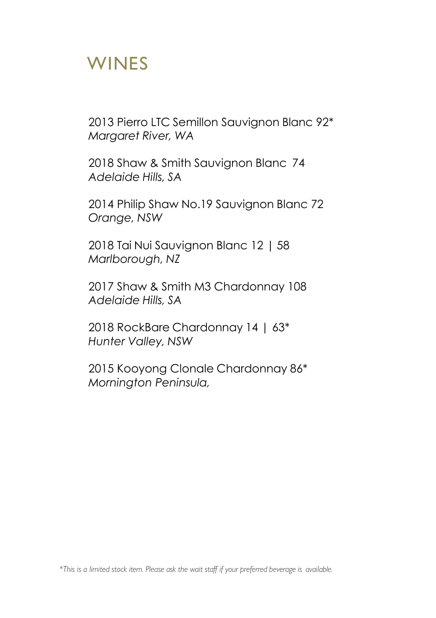2013 Pierro LTC Semillon Sauvignon Blanc 92\* *Margaret River, WA*

2018 Shaw & Smith Sauvignon Blanc 74 *Adelaide Hills, SA*

2014 Philip Shaw No.19 Sauvignon Blanc 72 *Orange, NSW*

2018 Tai Nui Sauvignon Blanc 12 | 58 *Marlborough, NZ*

2017 Shaw & Smith M3 Chardonnay 108 *Adelaide Hills, SA*

2018 RockBare Chardonnay 14 | 63\* *Hunter Valley, NSW*

2015 Kooyong Clonale Chardonnay 86\* *Mornington Peninsula,*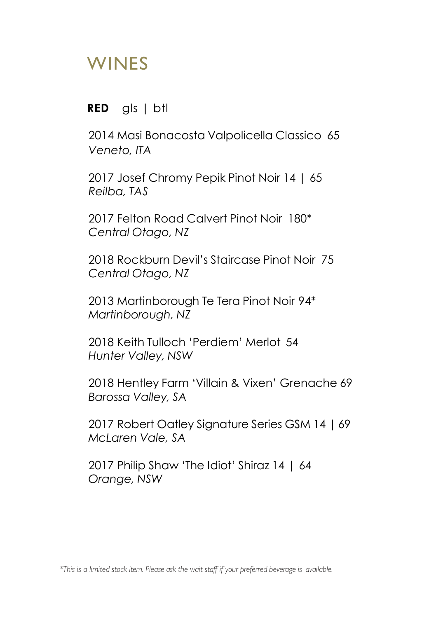**RED** gls | btl

2014 Masi Bonacosta Valpolicella Classico 65 *Veneto, ITA*

2017 Josef Chromy Pepik Pinot Noir 14 | 65 *Reilba, TAS*

2017 Felton Road Calvert Pinot Noir 180\* *Central Otago, NZ*

2018 Rockburn Devil's Staircase Pinot Noir 75 *Central Otago, NZ*

2013 Martinborough Te Tera Pinot Noir 94\* *Martinborough, NZ*

2018 Keith Tulloch 'Perdiem' Merlot 54 *Hunter Valley, NSW*

2018 Hentley Farm 'Villain & Vixen' Grenache 69 *Barossa Valley, SA*

2017 Robert Oatley Signature Series GSM 14 | 69 *McLaren Vale, SA*

2017 Philip Shaw 'The Idiot' Shiraz 14 | 64 *Orange, NSW*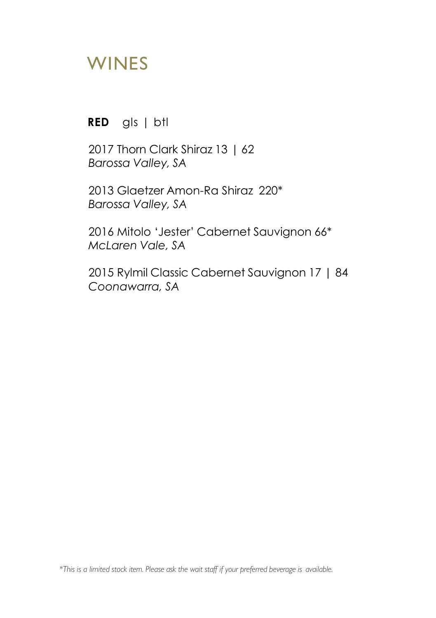**RED** gls | btl

2017 Thorn Clark Shiraz 13 | 62 *Barossa Valley, SA*

2013 Glaetzer Amon-Ra Shiraz 220\* *Barossa Valley, SA*

2016 Mitolo 'Jester' Cabernet Sauvignon 66\* *McLaren Vale, SA*

2015 Rylmil Classic Cabernet Sauvignon 17 | 84 *Coonawarra, SA*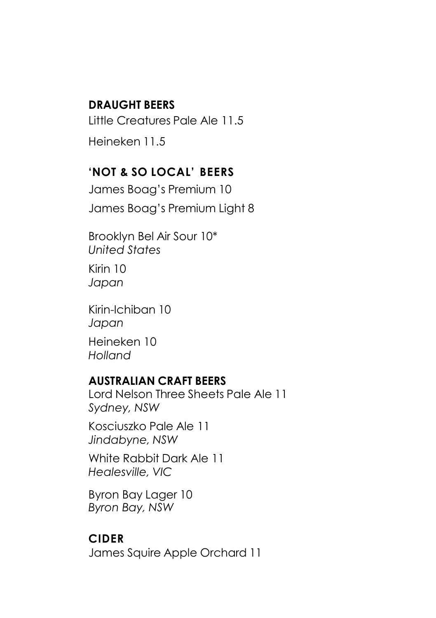#### **DRAUGHT BEERS**

Little Creatures Pale Ale 11.5 Heineken 11.5

#### **'NOT & SO LOCAL' BEERS**

James Boag's Premium 10 James Boag's Premium Light 8

Brooklyn Bel Air Sour 10\* *United States* Kirin 10

*Japan*

Kirin-Ichiban 10 *Japan* Heineken 10 *Holland*

#### **AUSTRALIAN CRAFT BEERS**

Lord Nelson Three Sheets Pale Ale 11 *Sydney, NSW*

Kosciuszko Pale Ale 11 *Jindabyne, NSW*

White Rabbit Dark Ale 11 *Healesville, VIC*

Byron Bay Lager 10 *Byron Bay, NSW*

#### **CIDER**

James Squire Apple Orchard 11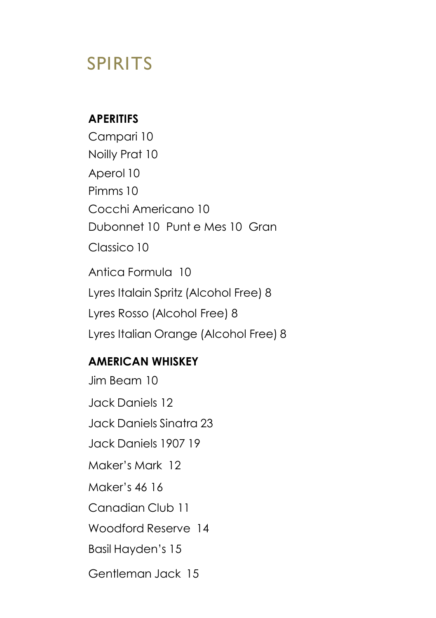## **APERITIFS**

Campari 10 Noilly Prat 10 Aperol 10 Pimms 10 Cocchi Americano 10 Dubonnet 10 Punt e Mes 10 Gran Classico 10 Antica Formula 10 Lyres Italain Spritz (Alcohol Free) 8 Lyres Rosso (Alcohol Free) 8 Lyres Italian Orange (Alcohol Free) 8

### **AMERICAN WHISKEY**

Jim Beam 10 Jack Daniels 12 Jack Daniels Sinatra 23 Jack Daniels 1907 19 Maker's Mark 12 Maker's 46 16 Canadian Club 11 Woodford Reserve 14 Basil Hayden's 15 Gentleman Jack 15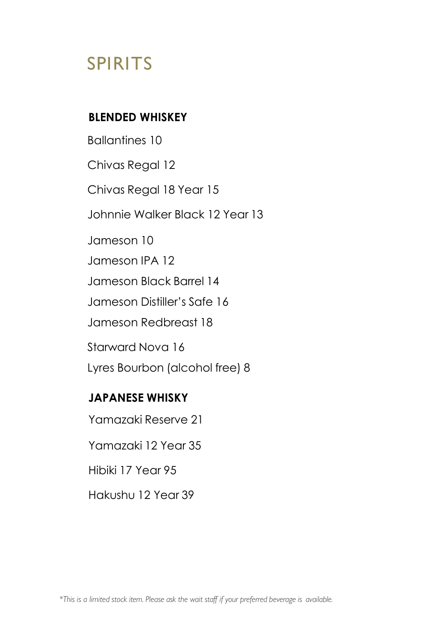#### **BLENDED WHISKEY**

Ballantines 10 Chivas Regal 12 Chivas Regal 18 Year 15 Johnnie Walker Black 12 Year 13 Jameson 10 Jameson IPA 12 Jameson Black Barrel 14 Jameson Distiller's Safe 16 Jameson Redbreast 18 Starward Nova 16 Lyres Bourbon (alcohol free) 8 **JAPANESE WHISKY**

Yamazaki Reserve 21

Yamazaki 12 Year 35

Hibiki 17 Year 95

Hakushu 12 Year 39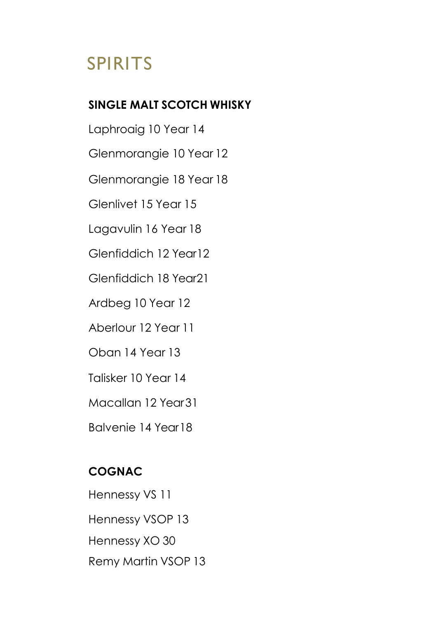### **SINGLE MALT SCOTCH WHISKY**

Laphroaig 10 Year 14 Glenmorangie 10 Year 12 Glenmorangie 18 Year 18

Glenlivet 15 Year 15

Lagavulin 16 Year 18

Glenfiddich 12 Year12

Glenfiddich 18 Year21

Ardbeg 10 Year 12

Aberlour 12 Year 11

Oban 14 Year 13

Talisker 10 Year 14

Macallan 12 Year31

Balvenie 14 Year18

## **COGNAC**

Hennessy VS 11 Hennessy VSOP 13 Hennessy XO 30 Remy Martin VSOP 13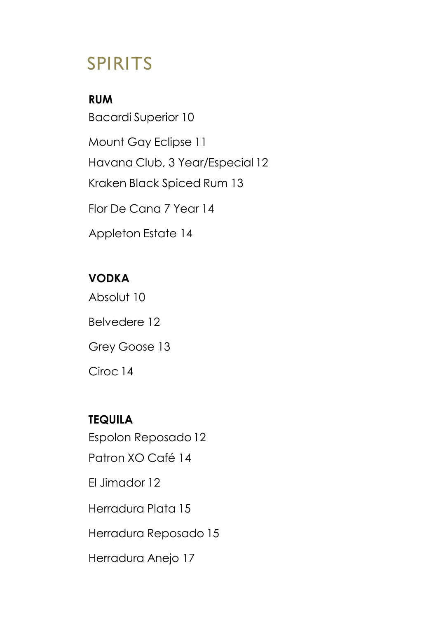**RUM** Bacardi Superior 10 Mount Gay Eclipse 11 Havana Club, 3 Year/Especial 12 Kraken Black Spiced Rum 13 Flor De Cana 7 Year 14 Appleton Estate 14

## **VODKA**

Absolut 10 Belvedere 12 Grey Goose 13 Ciroc 14

# **TEQUILA** Espolon Reposado 12 Patron XO Café 14 El Jimador 12 Herradura Plata 15 Herradura Reposado 15 Herradura Anejo 17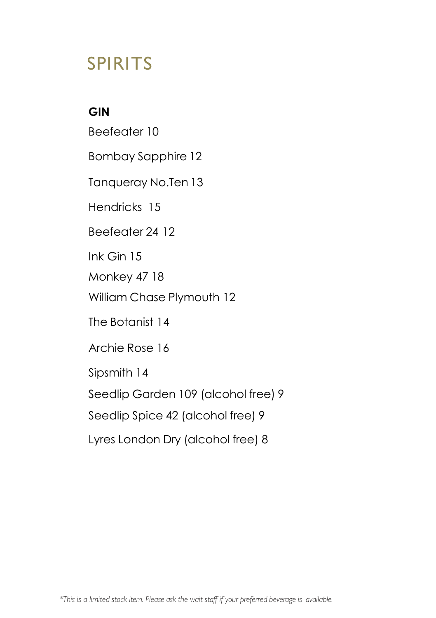### **GIN**

Beefeater 10 Bombay Sapphire 12 Tanqueray No.Ten 13 Hendricks 15 Beefeater 24 12 Ink Gin 15 Monkey 47 18 William Chase Plymouth 12 The Botanist 14 Archie Rose 16 Sipsmith 14 Seedlip Garden 109 (alcohol free) 9 Seedlip Spice 42 (alcohol free) 9 Lyres London Dry (alcohol free) 8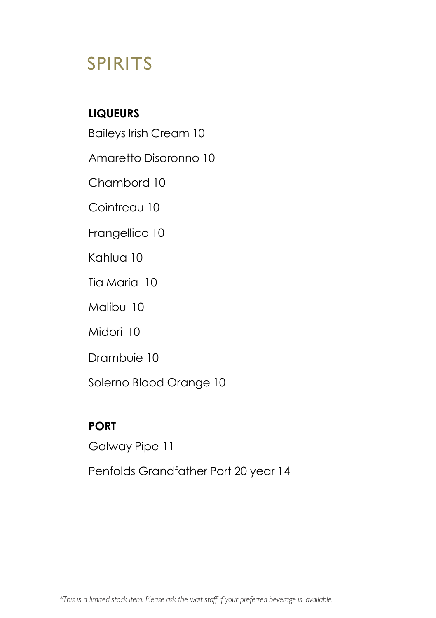## **LIQUEURS**

Baileys Irish Cream 10

Amaretto Disaronno 10

Chambord 10

Cointreau 10

Frangellico 10

Kahlua 10

Tia Maria 10

Malibu 10

Midori 10

Drambuie 10

Solerno Blood Orange 10

## **PORT**

Galway Pipe 11

Penfolds Grandfather Port 20 year 14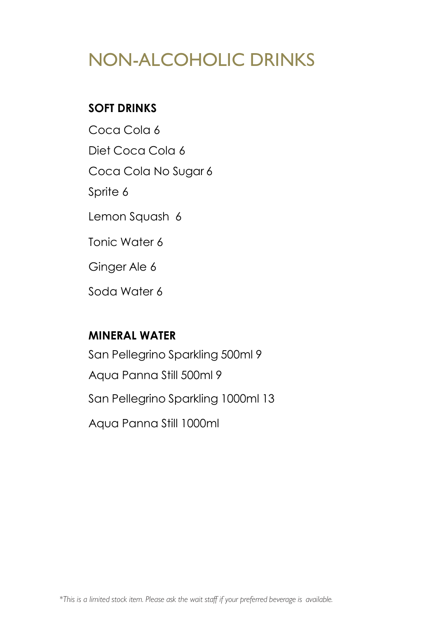# NON-ALCOHOLIC DRINKS

## **SOFT DRINKS**

Coca Cola 6 Diet Coca Cola 6 Coca Cola No Sugar 6 Sprite 6 Lemon Squash 6 Tonic Water 6 Ginger Ale 6 Soda Water 6

#### **MINERAL WATER**

San Pellegrino Sparkling 500ml 9 Aqua Panna Still 500ml 9 San Pellegrino Sparkling 1000ml 13 Aqua Panna Still 1000ml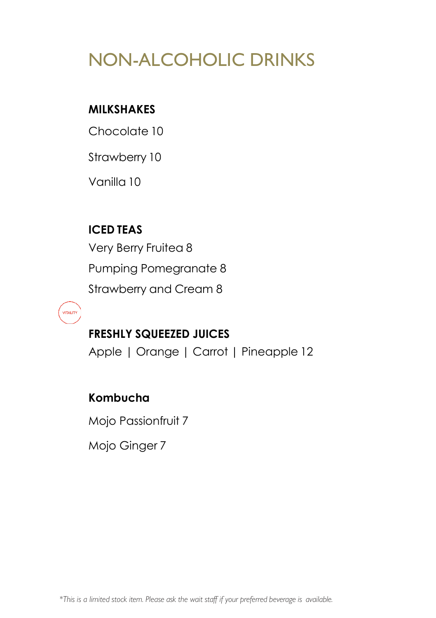# NON-ALCOHOLIC DRINKS

## **MILKSHAKES**

Chocolate 10

Strawberry 10

Vanilla 10

**ICED TEAS**

Very Berry Fruitea 8 Pumping Pomegranate 8 Strawberry and Cream 8

**VITALITY** 

## **FRESHLY SQUEEZED JUICES**

Apple | Orange | Carrot | Pineapple 12

## **Kombucha**

Mojo Passionfruit 7

Mojo Ginger 7